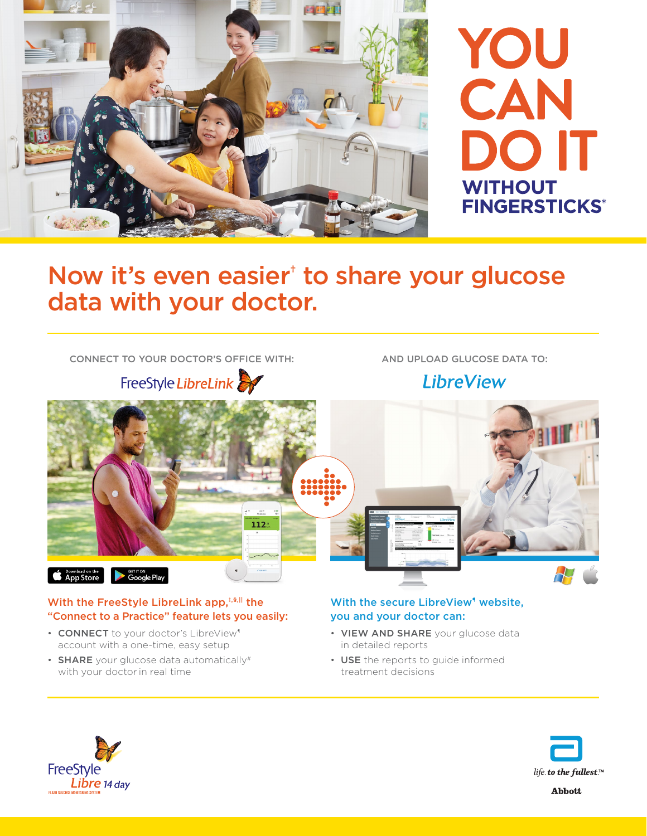

# Now it's even easier<sup>†</sup> to share your glucose data with your doctor.

CONNECT TO YOUR DOCTOR'S OFFICE WITH: AND UPLOAD GLUCOSE DATA TO:

FreeStyle LibreLink

**LibreView** 



#### With the FreeStyle LibreLink app,<sup>#,\$,||</sup> the "Connect to a Practice" feature lets you easily:

- CONNECT to your doctor's LibreView<sup>1</sup> account with a one-time, easy setup
- **SHARE** your glucose data automatically# with your doctor in real time

### With the secure LibreView<sup>1</sup> website, you and your doctor can:

- VIEW AND SHARE your glucose data in detailed reports
- USE the reports to guide informed treatment decisions